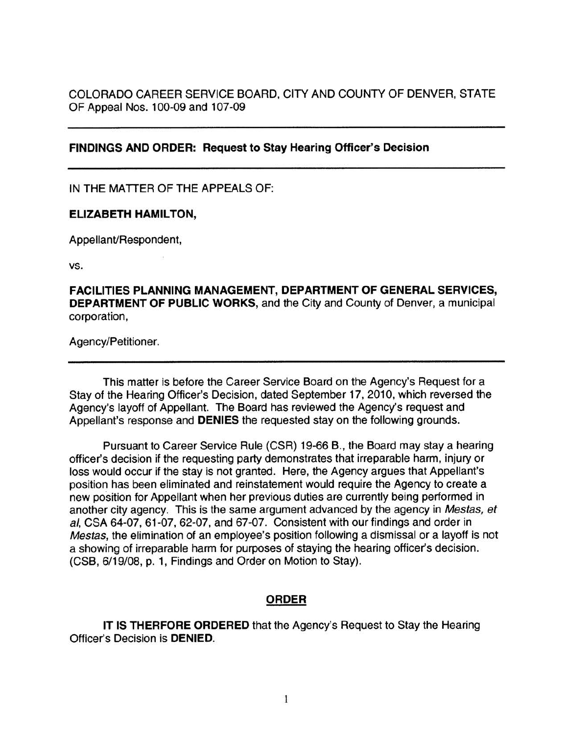COLORADO CAREER SERVICE BOARD, CITY AND COUNTY OF DENVER, STATE OF Appeal Nos. 100-09 and 107-09

## **FINDINGS AND ORDER: Request to Stay Hearing Officer's Decision**

IN THE MATTER OF THE APPEALS OF:

## **ELIZABETH HAMILTON,**

Appellant/Respondent,

vs.

**FACILITIES PLANNING MANAGEMENT, DEPARTMENT OF GENERAL SERVICES, DEPARTMENT OF PUBLIC WORKS,** and the City and County of Denver, a municipal corporation,

Agency/Petitioner.

This matter is before the Career Service Board on the Agency's Request for a Stay of the Hearing Officer's Decision, dated September 17, 2010, which reversed the Agency's layoff of Appellant. The Board has reviewed the Agency's request and Appellant's response and **DENIES** the requested stay on the following grounds.

Pursuant to Career Service Rule (CSR) 19-66 B., the Board may stay a hearing officer's decision if the requesting party demonstrates that irreparable harm, injury or loss would occur if the stay is not granted. Here, the Agency argues that Appellant's position has been eliminated and reinstatement would require the Agency to create a new position for Appellant when her previous duties are currently being performed in another city agency. This is the same argument advanced by the agency in Mestas, et al, CSA 64-07, 61-07, 62-07, and 67-07. Consistent with our findings and order in Mestas, the elimination of an employee's position following a dismissal or a layoff is not a showing of irreparable harm for purposes of staying the hearing officer's decision. (CSB, 6/19/08, p. 1, Findings and Order on Motion to Stay).

## **ORDER**

**IT IS THERFORE ORDERED** that the Agency's Request to Stay the Hearing Officer's Decision is **DENIED.**